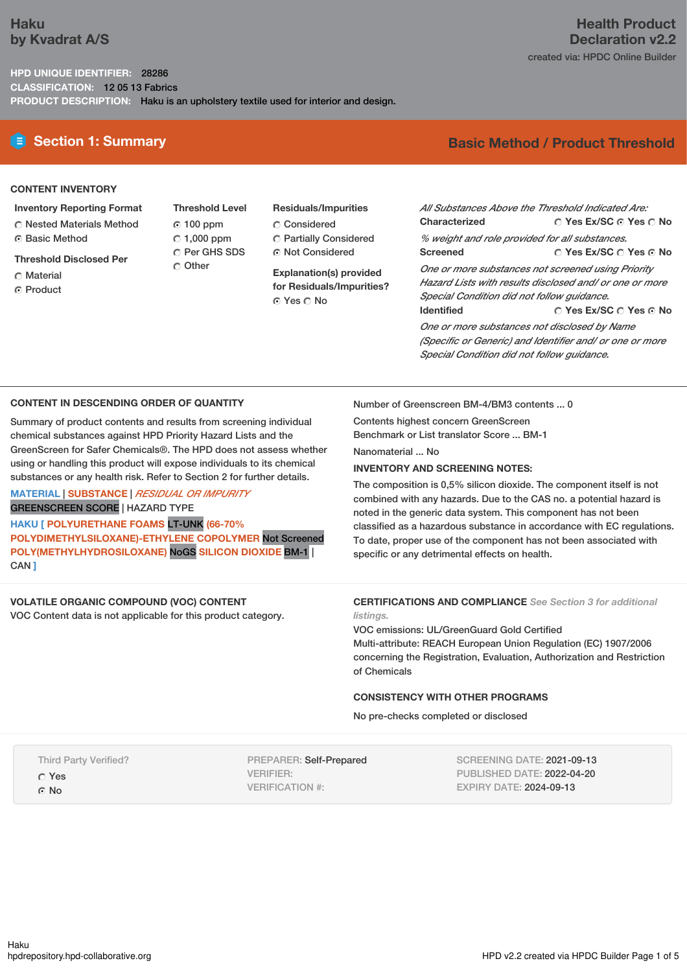# **Haku by Kvadrat A/S**

## **HPD UNIQUE IDENTIFIER:** 28286 **CLASSIFICATION:** 12 05 13 Fabrics **PRODUCT DESCRIPTION:** Haku is an upholstery textile used for interior and design.

# **E** Section 1: Summary **Basic** Method / Product Threshold

## **CONTENT INVENTORY**

- **Inventory Reporting Format**
- Nested Materials Method
- Basic Method
- **Threshold Disclosed Per**
- C Material
- **G** Product
- **Threshold Level** 100 ppm  $\degree$  1,000 ppm C Per GHS SDS Other
- **Residuals/Impurities** Considered Partially Considered Not Considered

**Explanation(s) provided for Residuals/Impurities?** © Yes ∩ No

**Yes Ex/SC Yes No Yes Ex/SC Yes No** *All Substances Above the Threshold Indicated Are:* **Characterized** *% weight and role provided for all substances.* **Screened** *One or more substances not screened using Priority*

**Yes Ex/SC Yes No** *Hazard Lists with results disclosed and/ or one or more Special Condition did not follow guidance.* **Identified**

*One or more substances not disclosed by Name (Specific or Generic) and Identifier and/ or one or more Special Condition did not follow guidance.*

## **CONTENT IN DESCENDING ORDER OF QUANTITY**

Summary of product contents and results from screening individual chemical substances against HPD Priority Hazard Lists and the GreenScreen for Safer Chemicals®. The HPD does not assess whether using or handling this product will expose individuals to its chemical substances or any health risk. Refer to Section 2 for further details.

### **MATERIAL** | **SUBSTANCE** | *RESIDUAL OR IMPURITY* GREENSCREEN SCORE | HAZARD TYPE

**HAKU [ POLYURETHANE FOAMS** LT-UNK **(66-70% POLYDIMETHYLSILOXANE)-ETHYLENE COPOLYMER** Not Screened **POLY(METHYLHYDROSILOXANE)** NoGS **SILICON DIOXIDE** BM-1 | CAN **]**

# **VOLATILE ORGANIC COMPOUND (VOC) CONTENT**

VOC Content data is not applicable for this product category.

Number of Greenscreen BM-4/BM3 contents ... 0

Contents highest concern GreenScreen Benchmark or List translator Score ... BM-1

Nanomaterial No.

## **INVENTORY AND SCREENING NOTES:**

The composition is 0,5% silicon dioxide. The component itself is not combined with any hazards. Due to the CAS no. a potential hazard is noted in the generic data system. This component has not been classified as a hazardous substance in accordance with EC regulations. To date, proper use of the component has not been associated with specific or any detrimental effects on health.

#### **CERTIFICATIONS AND COMPLIANCE** *See Section 3 for additional listings.*

VOC emissions: UL/GreenGuard Gold Certified Multi-attribute: REACH European Union Regulation (EC) 1907/2006 concerning the Registration, Evaluation, Authorization and Restriction of Chemicals

## **CONSISTENCY WITH OTHER PROGRAMS**

No pre-checks completed or disclosed

Third Party Verified?

Yes

G No

PREPARER: Self-Prepared VERIFIER: VERIFICATION #:

SCREENING DATE: 2021-09-13 PUBLISHED DATE: 2022-04-20 EXPIRY DATE: 2024-09-13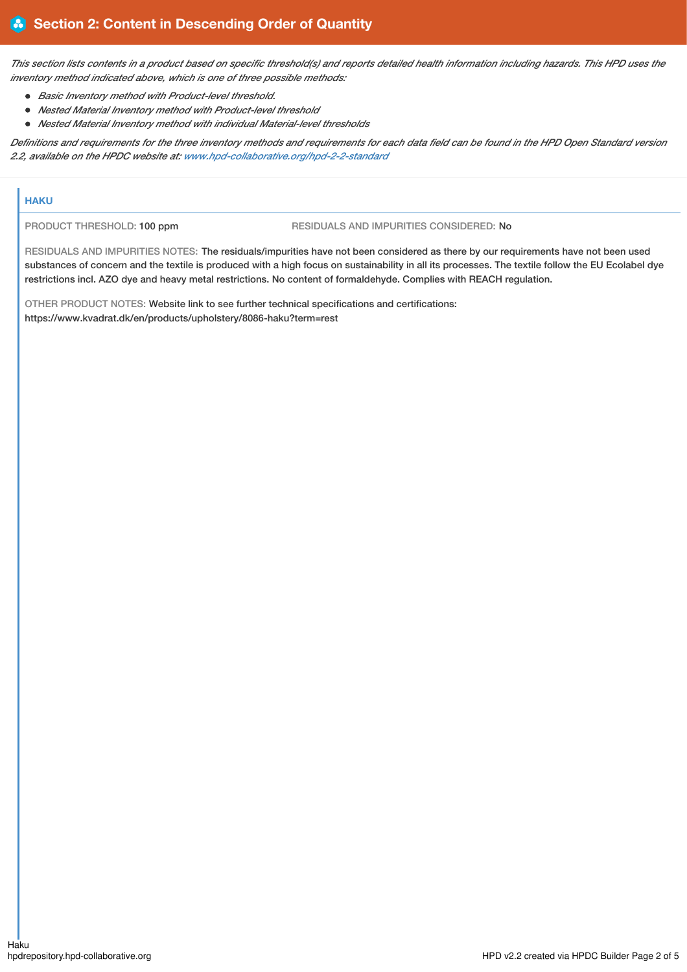This section lists contents in a product based on specific threshold(s) and reports detailed health information including hazards. This HPD uses the *inventory method indicated above, which is one of three possible methods:*

- *Basic Inventory method with Product-level threshold.*
- *Nested Material Inventory method with Product-level threshold*
- *Nested Material Inventory method with individual Material-level thresholds*

Definitions and requirements for the three inventory methods and requirements for each data field can be found in the HPD Open Standard version *2.2, available on the HPDC website at: [www.hpd-collaborative.org/hpd-2-2-standard](https://www.hpd-collaborative.org/hpd-2-2-standard)*

## **HAKU**

PRODUCT THRESHOLD: 100 ppm RESIDUALS AND IMPURITIES CONSIDERED: No

RESIDUALS AND IMPURITIES NOTES: The residuals/impurities have not been considered as there by our requirements have not been used substances of concern and the textile is produced with a high focus on sustainability in all its processes. The textile follow the EU Ecolabel dye restrictions incl. AZO dye and heavy metal restrictions. No content of formaldehyde. Complies with REACH regulation.

OTHER PRODUCT NOTES: Website link to see further technical specifications and certifications: https://www.kvadrat.dk/en/products/upholstery/8086-haku?term=rest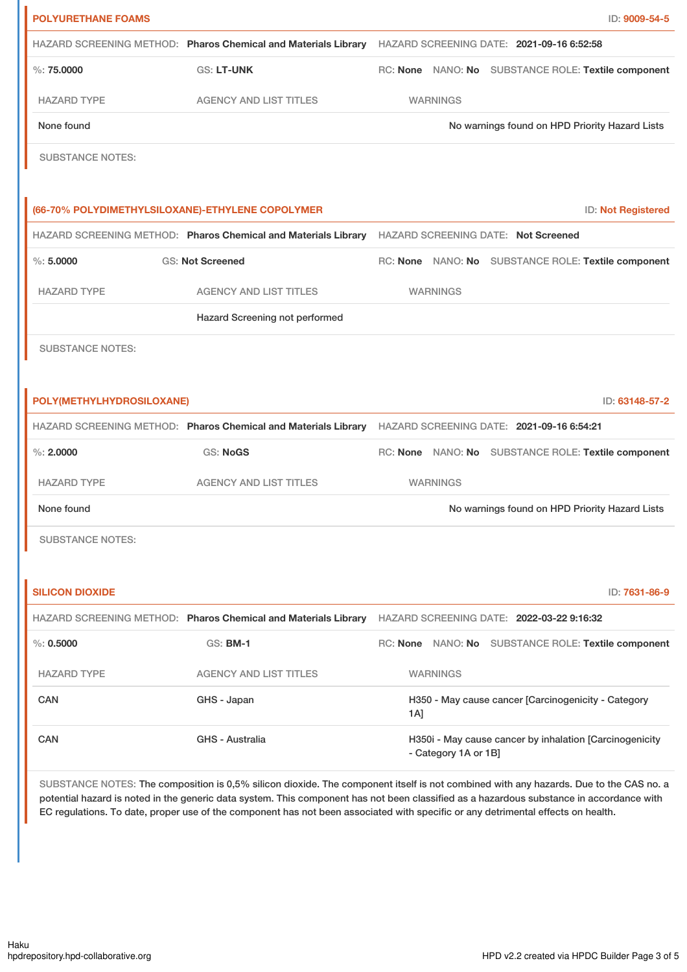| <b>POLYURETHANE FOAMS</b>                        |                                                                                                          |                                                                                                          |                 |                                                     | ID: 9009-54-5             |
|--------------------------------------------------|----------------------------------------------------------------------------------------------------------|----------------------------------------------------------------------------------------------------------|-----------------|-----------------------------------------------------|---------------------------|
|                                                  |                                                                                                          | HAZARD SCREENING METHOD: Pharos Chemical and Materials Library HAZARD SCREENING DATE: 2021-09-16 6:52:58 |                 |                                                     |                           |
| $\%$ : 75,0000                                   | GS: LT-UNK                                                                                               |                                                                                                          |                 | RC: None NANO: No SUBSTANCE ROLE: Textile component |                           |
| <b>HAZARD TYPE</b>                               | <b>AGENCY AND LIST TITLES</b>                                                                            |                                                                                                          | <b>WARNINGS</b> |                                                     |                           |
| None found                                       |                                                                                                          | No warnings found on HPD Priority Hazard Lists                                                           |                 |                                                     |                           |
| <b>SUBSTANCE NOTES:</b>                          |                                                                                                          |                                                                                                          |                 |                                                     |                           |
|                                                  |                                                                                                          |                                                                                                          |                 |                                                     |                           |
| (66-70% POLYDIMETHYLSILOXANE)-ETHYLENE COPOLYMER |                                                                                                          |                                                                                                          |                 |                                                     | <b>ID: Not Registered</b> |
|                                                  | HAZARD SCREENING METHOD: Pharos Chemical and Materials Library HAZARD SCREENING DATE: Not Screened       |                                                                                                          |                 |                                                     |                           |
| $\%: 5.0000$                                     | <b>GS: Not Screened</b>                                                                                  |                                                                                                          |                 | RC: None NANO: No SUBSTANCE ROLE: Textile component |                           |
| <b>HAZARD TYPE</b>                               | <b>AGENCY AND LIST TITLES</b>                                                                            |                                                                                                          | <b>WARNINGS</b> |                                                     |                           |
|                                                  | Hazard Screening not performed                                                                           |                                                                                                          |                 |                                                     |                           |
| <b>SUBSTANCE NOTES:</b>                          |                                                                                                          |                                                                                                          |                 |                                                     |                           |
|                                                  |                                                                                                          |                                                                                                          |                 |                                                     |                           |
| POLY(METHYLHYDROSILOXANE)                        |                                                                                                          |                                                                                                          |                 |                                                     | ID: 63148-57-2            |
|                                                  | HAZARD SCREENING METHOD: Pharos Chemical and Materials Library HAZARD SCREENING DATE: 2021-09-16 6:54:21 |                                                                                                          |                 |                                                     |                           |
| $\%$ : 2.0000                                    | GS: NoGS                                                                                                 |                                                                                                          |                 | RC: None NANO: No SUBSTANCE ROLE: Textile component |                           |
| <b>HAZARD TYPE</b>                               | <b>AGENCY AND LIST TITLES</b>                                                                            |                                                                                                          | <b>WARNINGS</b> |                                                     |                           |
| None found                                       |                                                                                                          |                                                                                                          |                 | No warnings found on HPD Priority Hazard Lists      |                           |
| <b>SUBSTANCE NOTES:</b>                          |                                                                                                          |                                                                                                          |                 |                                                     |                           |
|                                                  |                                                                                                          |                                                                                                          |                 |                                                     |                           |
| <b>SILICON DIOXIDE</b>                           |                                                                                                          |                                                                                                          |                 |                                                     | ID: 7631-86-9             |
|                                                  | HAZARD SCREENING METHOD: Pharos Chemical and Materials Library                                           |                                                                                                          |                 | HAZARD SCREENING DATE: 2022-03-22 9:16:32           |                           |
| $\%: 0.5000$                                     | <b>GS: BM-1</b>                                                                                          |                                                                                                          |                 | RC: None NANO: No SUBSTANCE ROLE: Textile component |                           |
| <b>HAZARD TYPE</b>                               | <b>AGENCY AND LIST TITLES</b>                                                                            |                                                                                                          | <b>WARNINGS</b> |                                                     |                           |
| CAN                                              | GHS - Japan                                                                                              | H350 - May cause cancer [Carcinogenicity - Category<br>$1A$ ]                                            |                 |                                                     |                           |
| <b>CAN</b>                                       | <b>GHS - Australia</b>                                                                                   | H350i - May cause cancer by inhalation [Carcinogenicity<br>- Category 1A or 1B]                          |                 |                                                     |                           |
|                                                  |                                                                                                          |                                                                                                          |                 |                                                     |                           |

SUBSTANCE NOTES: The composition is 0,5% silicon dioxide. The component itself is not combined with any hazards. Due to the CAS no. a potential hazard is noted in the generic data system. This component has not been classified as a hazardous substance in accordance with EC regulations. To date, proper use of the component has not been associated with specific or any detrimental effects on health.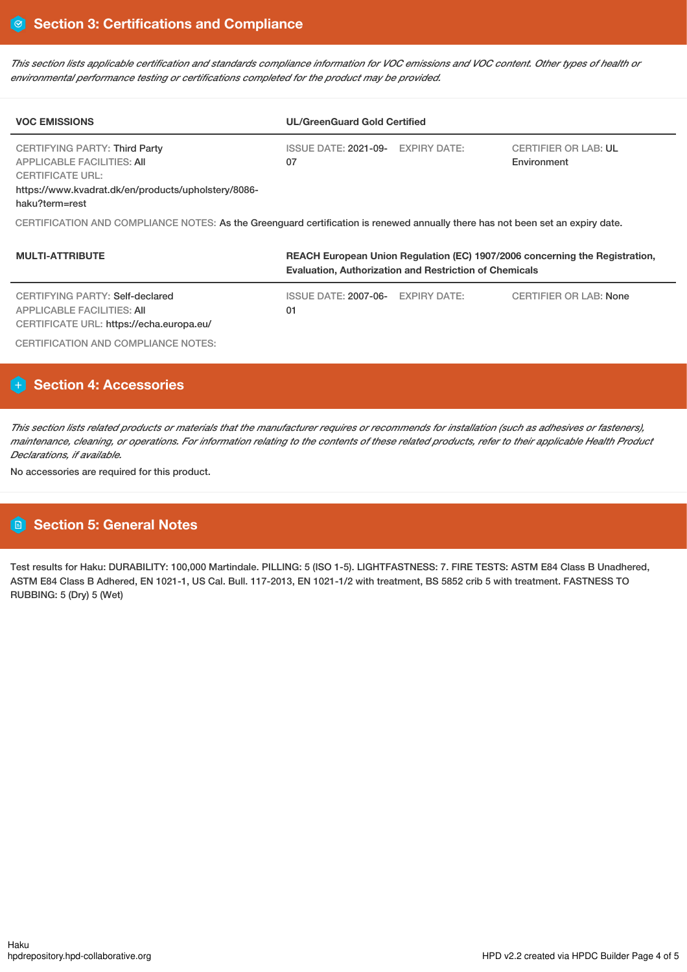This section lists applicable certification and standards compliance information for VOC emissions and VOC content. Other types of health or *environmental performance testing or certifications completed for the product may be provided.*

| <b>VOC EMISSIONS</b>                                                                                                                                                   | <b>UL/GreenGuard Gold Certified</b>                                                                                                          |                                            |  |  |  |  |  |
|------------------------------------------------------------------------------------------------------------------------------------------------------------------------|----------------------------------------------------------------------------------------------------------------------------------------------|--------------------------------------------|--|--|--|--|--|
| <b>CERTIFYING PARTY: Third Party</b><br>APPLICABLE FACILITIES: AII<br><b>CERTIFICATE URL:</b><br>https://www.kvadrat.dk/en/products/upholstery/8086-<br>haku?term=rest | ISSUE DATE: 2021-09- EXPIRY DATE:<br>07                                                                                                      | <b>CERTIFIER OR LAB: UL</b><br>Environment |  |  |  |  |  |
| CERTIFICATION AND COMPLIANCE NOTES: As the Greenguard certification is renewed annually there has not been set an expiry date.                                         |                                                                                                                                              |                                            |  |  |  |  |  |
| <b>MULTI-ATTRIBUTE</b>                                                                                                                                                 | REACH European Union Regulation (EC) 1907/2006 concerning the Registration,<br><b>Evaluation, Authorization and Restriction of Chemicals</b> |                                            |  |  |  |  |  |

| CERTIFYING PARTY: Self-declared                                        | ISSUE DATE: 2007-06- EXPIRY DATE: | CERTIFIER OR LAB: None |
|------------------------------------------------------------------------|-----------------------------------|------------------------|
| APPLICABLE FACILITIES: AII<br>CERTIFICATE URL: https://echa.europa.eu/ | 01                                |                        |
| CERTIFICATION AND COMPLIANCE NOTES:                                    |                                   |                        |

# **Section 4: Accessories**

This section lists related products or materials that the manufacturer requires or recommends for installation (such as adhesives or fasteners), maintenance, cleaning, or operations. For information relating to the contents of these related products, refer to their applicable Health Product *Declarations, if available.*

No accessories are required for this product.

# **Section 5: General Notes**

Test results for Haku: DURABILITY: 100,000 Martindale. PILLING: 5 (ISO 1-5). LIGHTFASTNESS: 7. FIRE TESTS: ASTM E84 Class B Unadhered, ASTM E84 Class B Adhered, EN 1021-1, US Cal. Bull. 117-2013, EN 1021-1/2 with treatment, BS 5852 crib 5 with treatment. FASTNESS TO RUBBING: 5 (Dry) 5 (Wet)